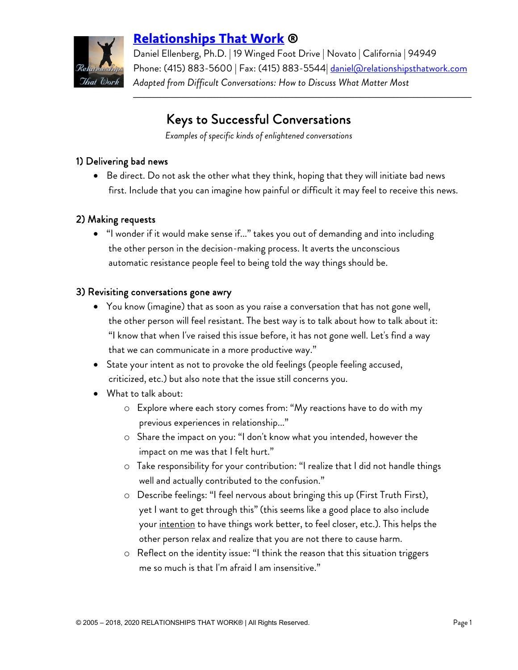

# **[Relationships That Work](http://www.relationshipsthatwork.com/) ®**

Daniel Ellenberg, Ph.D. | 19 Winged Foot Drive | Novato | California | 94949 Phone: (415) 883-5600 | Fax: (415) 883-5544 <u>daniel@relationshipsthatwork.com</u> *Adapted from Difficult Conversations: How to Discuss What Matter Most*

 $\mathcal{L}_\mathcal{L} = \{ \mathcal{L}_\mathcal{L} = \{ \mathcal{L}_\mathcal{L} = \{ \mathcal{L}_\mathcal{L} = \{ \mathcal{L}_\mathcal{L} = \{ \mathcal{L}_\mathcal{L} = \{ \mathcal{L}_\mathcal{L} = \{ \mathcal{L}_\mathcal{L} = \{ \mathcal{L}_\mathcal{L} = \{ \mathcal{L}_\mathcal{L} = \{ \mathcal{L}_\mathcal{L} = \{ \mathcal{L}_\mathcal{L} = \{ \mathcal{L}_\mathcal{L} = \{ \mathcal{L}_\mathcal{L} = \{ \mathcal{L}_\mathcal{$ 

# Keys to Successful Conversations

*Examples of specific kinds of enlightened conversations*

## 1) Delivering bad news

• Be direct. Do not ask the other what they think, hoping that they will initiate bad news first. Include that you can imagine how painful or difficult it may feel to receive this news.

#### 2) Making requests

• "I wonder if it would make sense if..." takes you out of demanding and into including the other person in the decision-making process. It averts the unconscious automatic resistance people feel to being told the way things should be.

#### 3) Revisiting conversations gone awry

- You know (imagine) that as soon as you raise a conversation that has not gone well, the other person will feel resistant. The best way is to talk about how to talk about it: "I know that when I've raised this issue before, it has not gone well. Let's find a way that we can communicate in a more productive way."
- State your intent as not to provoke the old feelings (people feeling accused, criticized, etc.) but also note that the issue still concerns you.
- What to talk about:
	- o Explore where each story comes from: "My reactions have to do with my previous experiences in relationship..."
	- o Share the impact on you: "I don't know what you intended, however the impact on me was that I felt hurt."
	- o Take responsibility for your contribution: "I realize that I did not handle things well and actually contributed to the confusion."
	- o Describe feelings: "I feel nervous about bringing this up (First Truth First), yet I want to get through this" (this seems like a good place to also include your <u>intention</u> to have things work better, to feel closer, etc.). This helps the other person relax and realize that you are not there to cause harm.
	- o Reflect on the identity issue: "I think the reason that this situation triggers me so much is that I'm afraid I am insensitive."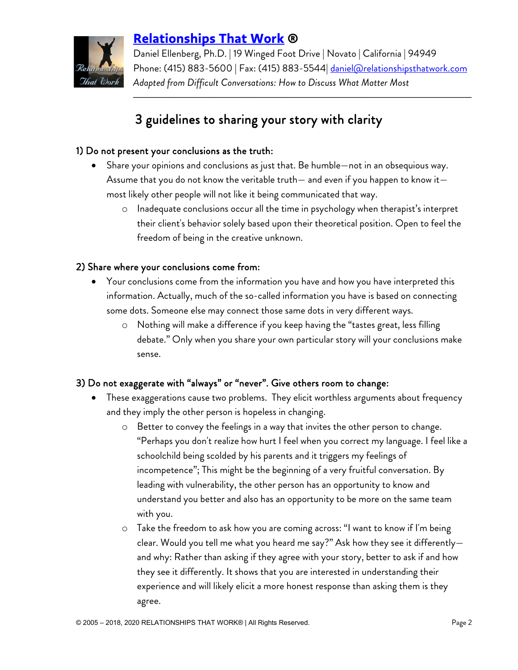

# **[Relationships That Work](http://www.relationshipsthatwork.com/) ®**

Daniel Ellenberg, Ph.D. | 19 Winged Foot Drive | Novato | California | 94949 Phone: (415) 883-5600 | Fax: (415) 883-5544| [daniel@relationshipsthatwork.com](mailto:daniel@relationshipsthatwork.com) *Adapted from Difficult Conversations: How to Discuss What Matter Most*

 $\mathcal{L}_\mathcal{L} = \{ \mathcal{L}_\mathcal{L} = \{ \mathcal{L}_\mathcal{L} = \{ \mathcal{L}_\mathcal{L} = \{ \mathcal{L}_\mathcal{L} = \{ \mathcal{L}_\mathcal{L} = \{ \mathcal{L}_\mathcal{L} = \{ \mathcal{L}_\mathcal{L} = \{ \mathcal{L}_\mathcal{L} = \{ \mathcal{L}_\mathcal{L} = \{ \mathcal{L}_\mathcal{L} = \{ \mathcal{L}_\mathcal{L} = \{ \mathcal{L}_\mathcal{L} = \{ \mathcal{L}_\mathcal{L} = \{ \mathcal{L}_\mathcal{$ 

# 3 guidelines to sharing your story with clarity

# 1) Do not present your conclusions as the truth:

- Share your opinions and conclusions as just that. Be humble—not in an obsequious way. Assume that you do not know the veritable truth— and even if you happen to know it most likely other people will not like it being communicated that way.
	- o Inadequate conclusions occur all the time in psychology when therapist's interpret their client's behavior solely based upon their theoretical position. Open to feel the freedom of being in the creative unknown.

## 2) Share where your conclusions come from:

- Your conclusions come from the information you have and how you have interpreted this information. Actually, much of the so-called information you have is based on connecting some dots. Someone else may connect those same dots in very different ways.
	- o Nothing will make a difference if you keep having the "tastes great, less filling debate." Only when you share your own particular story will your conclusions make sense.

# 3) Do not exaggerate with "always" or "never". Give others room to change:

- These exaggerations cause two problems. They elicit worthless arguments about frequency and they imply the other person is hopeless in changing.
	- o Better to convey the feelings in a way that invites the other person to change. "Perhaps you don't realize how hurt I feel when you correct my language. I feel like a schoolchild being scolded by his parents and it triggers my feelings of incompetence"; This might be the beginning of a very fruitful conversation. By leading with vulnerability, the other person has an opportunity to know and understand you better and also has an opportunity to be more on the same team with you.
	- o Take the freedom to ask how you are coming across: "I want to know if I'm being clear. Would you tell me what you heard me say?" Ask how they see it differently and why: Rather than asking if they agree with your story, better to ask if and how they see it differently. It shows that you are interested in understanding their experience and will likely elicit a more honest response than asking them is they agree.